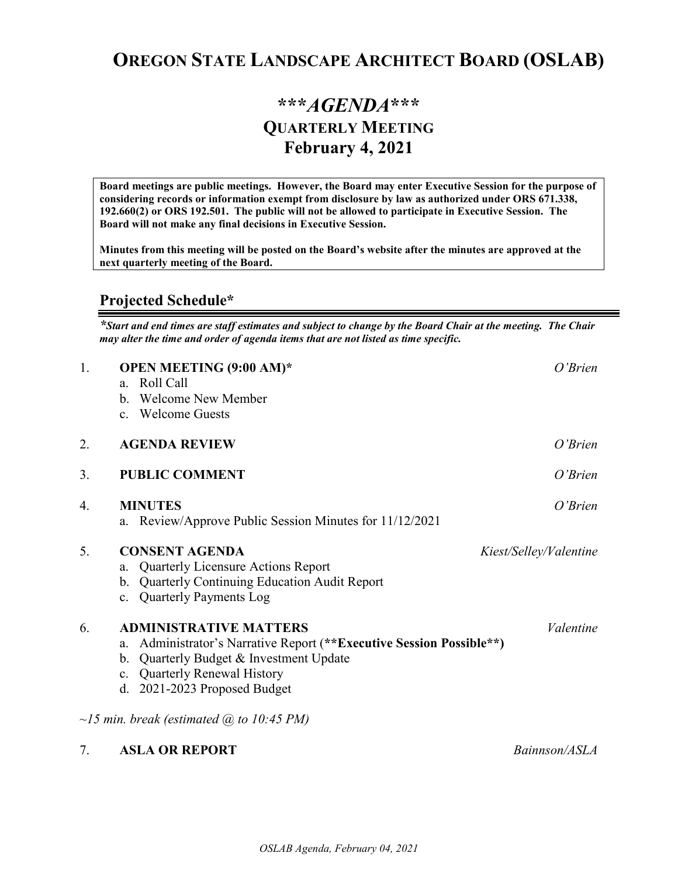## **OREGON STATE LANDSCAPE ARCHITECT BOARD (OSLAB)**

## **\*\*\****AGENDA***\*\*\* QUARTERLY MEETING February 4, 2021**

**Board meetings are public meetings. However, the Board may enter Executive Session for the purpose of considering records or information exempt from disclosure by law as authorized under ORS 671.338, 192.660(2) or ORS 192.501. The public will not be allowed to participate in Executive Session. The Board will not make any final decisions in Executive Session.** 

**Minutes from this meeting will be posted on the Board's website after the minutes are approved at the next quarterly meeting of the Board.**

## **Projected Schedule\***

*\*Start and end times are staff estimates and subject to change by the Board Chair at the meeting. The Chair may alter the time and order of agenda items that are not listed as time specific.* 

| 1. | <b>OPEN MEETING (9:00 AM)*</b><br>a. Roll Call<br>b. Welcome New Member<br>c. Welcome Guests                                                                                                                           | $O'$ Brien             |
|----|------------------------------------------------------------------------------------------------------------------------------------------------------------------------------------------------------------------------|------------------------|
| 2. | <b>AGENDA REVIEW</b>                                                                                                                                                                                                   | $O'$ <i>Brien</i>      |
| 3. | <b>PUBLIC COMMENT</b>                                                                                                                                                                                                  | $O'$ <i>Brien</i>      |
| 4. | <b>MINUTES</b><br>Review/Approve Public Session Minutes for 11/12/2021<br>a.                                                                                                                                           | O'Brien                |
| 5. | <b>CONSENT AGENDA</b><br><b>Quarterly Licensure Actions Report</b><br>a.<br><b>Quarterly Continuing Education Audit Report</b><br>b.<br><b>Quarterly Payments Log</b><br>$c_{\cdot}$                                   | Kiest/Selley/Valentine |
| 6. | <b>ADMINISTRATIVE MATTERS</b><br>Administrator's Narrative Report (**Executive Session Possible**)<br>a.<br>Quarterly Budget & Investment Update<br>b.<br>c. Quarterly Renewal History<br>d. 2021-2023 Proposed Budget | Valentine              |
|    | $\sim$ 15 min. break (estimated $\omega$ to 10:45 PM)                                                                                                                                                                  |                        |
| 7. | <b>ASLA OR REPORT</b>                                                                                                                                                                                                  | Bainnson/ASLA          |